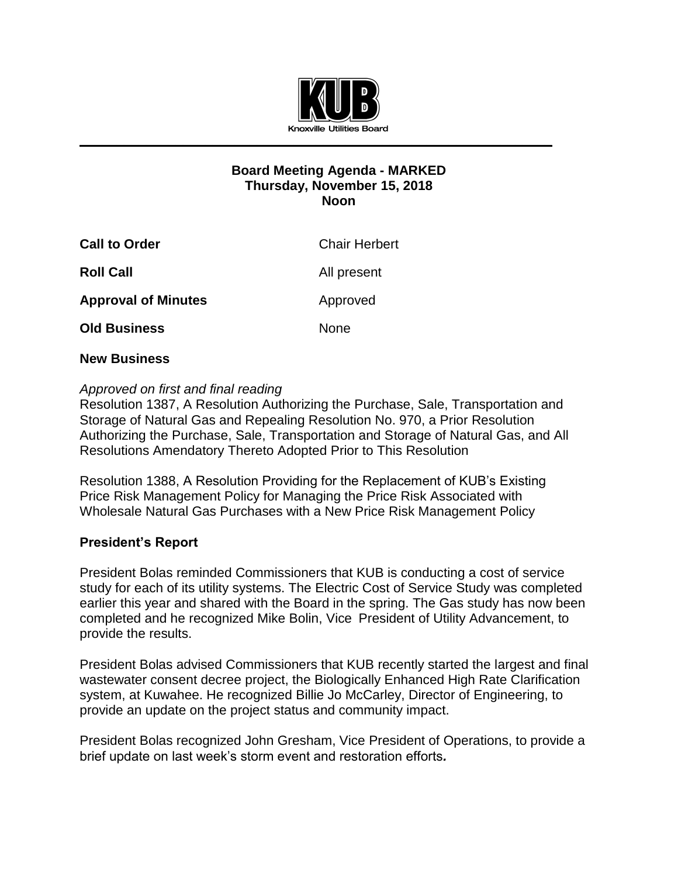

## **Board Meeting Agenda - MARKED Thursday, November 15, 2018 Noon**

| <b>Call to Order</b>       | <b>Chair Herbert</b> |
|----------------------------|----------------------|
| <b>Roll Call</b>           | All present          |
| <b>Approval of Minutes</b> | Approved             |
| <b>Old Business</b>        | <b>None</b>          |

## **New Business**

## *Approved on first and final reading*

Resolution 1387, A Resolution Authorizing the Purchase, Sale, Transportation and Storage of Natural Gas and Repealing Resolution No. 970, a Prior Resolution Authorizing the Purchase, Sale, Transportation and Storage of Natural Gas, and All Resolutions Amendatory Thereto Adopted Prior to This Resolution

Resolution 1388, A Resolution Providing for the Replacement of KUB's Existing Price Risk Management Policy for Managing the Price Risk Associated with Wholesale Natural Gas Purchases with a New Price Risk Management Policy

## **President's Report**

President Bolas reminded Commissioners that KUB is conducting a cost of service study for each of its utility systems. The Electric Cost of Service Study was completed earlier this year and shared with the Board in the spring. The Gas study has now been completed and he recognized Mike Bolin, Vice President of Utility Advancement, to provide the results.

President Bolas advised Commissioners that KUB recently started the largest and final wastewater consent decree project, the Biologically Enhanced High Rate Clarification system, at Kuwahee. He recognized Billie Jo McCarley, Director of Engineering, to provide an update on the project status and community impact.

President Bolas recognized John Gresham, Vice President of Operations, to provide a brief update on last week's storm event and restoration efforts*.*